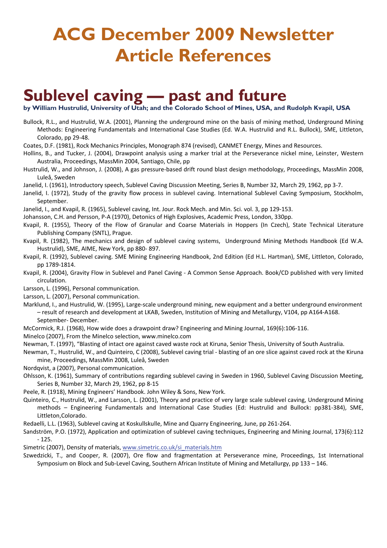# **ACG December 2009 Newsletter Article References**

#### **Sublevel caving — past and future**

**by William Hustrulid, University of Utah; and the Colorado School of Mines, USA, and Rudolph Kvapil, USA** 

Bullock, R.L., and Hustrulid, W.A. (2001), Planning the underground mine on the basis of mining method, Underground Mining Methods: Engineering Fundamentals and International Case Studies (Ed. W.A. Hustrulid and R.L. Bullock), SME, Littleton, Colorado, pp 29-48.

Coates, D.F. (1981), Rock Mechanics Principles, Monograph 874 (revised), CANMET Energy, Mines and Resources.

- Hollins, B., and Tucker, J. (2004), Drawpoint analysis using a marker trial at the Perseverance nickel mine, Leinster, Western Australia, Proceedings, MassMin 2004, Santiago, Chile, pp
- Hustrulid, W., and Johnson, J. (2008), A gas pressure-based drift round blast design methodology, Proceedings, MassMin 2008, Luleå, Sweden
- Janelid, I. (1961), Introductory speech, Sublevel Caving Discussion Meeting, Series B, Number 32, March 29, 1962, pp 3-7.
- Janelid, I. (1972), Study of the gravity flow process in sublevel caving. International Sublevel Caving Symposium, Stockholm, September.
- Janelid, I., and Kvapil, R. (1965), Sublevel caving, Int. Jour. Rock Mech. and Min. Sci. vol. 3, pp 129-153.
- Johansson, C.H. and Persson, P-A (1970), Detonics of High Explosives, Academic Press, London, 330pp.
- Kvapil, R. (1955), Theory of the Flow of Granular and Coarse Materials in Hoppers (In Czech), State Technical Literature Publishing Company (SNTL), Prague.
- Kvapil, R. (1982), The mechanics and design of sublevel caving systems, Underground Mining Methods Handbook (Ed W.A. Hustrulid), SME, AIME, New York, pp 880- 897.
- Kvapil, R. (1992), Sublevel caving. SME Mining Engineering Handbook, 2nd Edition (Ed H.L. Hartman), SME, Littleton, Colorado, pp 1789-1814.
- Kvapil, R. (2004), Gravity Flow in Sublevel and Panel Caving A Common Sense Approach. Book/CD published with very limited circulation.
- Larsson, L. (1996), Personal communication.
- Larsson, L. (2007), Personal communication.
- Marklund, I., and Hustrulid, W. (1995), Large-scale underground mining, new equipment and a better underground environment – result of research and development at LKAB, Sweden, Institution of Mining and Metallurgy, V104, pp A164-A168. September- December.
- McCormick, R.J. (1968), How wide does a drawpoint draw? Engineering and Mining Journal, 169(6):106-116.
- Minelco (2007), From the Minelco selection, www.minelco.com
- Newman, T. (1997), "Blasting of intact ore against caved waste rock at Kiruna, Senior Thesis, University of South Australia.
- Newman, T., Hustrulid, W., and Quinteiro, C (2008), Sublevel caving trial blasting of an ore slice against caved rock at the Kiruna mine, Proceedings, MassMin 2008, Luleå, Sweden
- Nordqvist, a (2007), Personal communication.
- Ohlsson, K. (1961), Summary of contributions regarding sublevel caving in Sweden in 1960, Sublevel Caving Discussion Meeting, Series B, Number 32, March 29, 1962, pp 8-15
- Peele, R. (1918), Mining Engineers' Handbook. John Wiley & Sons, New York.
- Quinteiro, C., Hustrulid, W., and Larsson, L. (2001), Theory and practice of very large scale sublevel caving, Underground Mining methods – Engineering Fundamentals and International Case Studies (Ed: Hustrulid and Bullock: pp381-384), SME, Littleton,Colorado.
- Redaelli, L.L. (1963), Sublevel caving at Koskullskulle, Mine and Quarry Engineering, June, pp 261-264.
- Sandström, P.O. (1972), Application and optimization of sublevel caving techniques, Engineering and Mining Journal, 173(6):112 - 125.
- Simetric (2007), Density of materials, www.simetric.co.uk/si\_materials.htm
- Szwedzicki, T., and Cooper, R. (2007), Ore flow and fragmentation at Perseverance mine, Proceedings, 1st International Symposium on Block and Sub-Level Caving, Southern African Institute of Mining and Metallurgy, pp 133 – 146.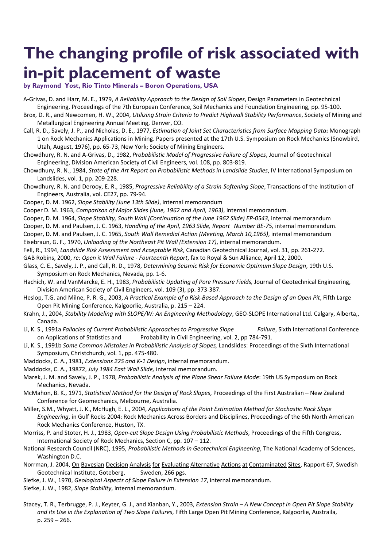## **The changing profile of risk associated with in-pit placement of waste**

**by Raymond Yost, Rio Tinto Minerals – Boron Operations, USA** 

- A-Grivas, D. and Harr, M. E., 1979, *A Reliability Approach to the Design of Soil Slopes*, Design Parameters in Geotechnical Engineering, Proceedings of the 7th European Conference, Soil Mechanics and Foundation Engineering, pp. 95-100.
- Brox, D. R., and Newcomen, H. W., 2004, *Utilizing Strain Criteria to Predict Highwall Stability Performance*, Society of Mining and Metallurgical Engineering Annual Meeting, Denver, CO.
- Call, R. D., Savely, J. P., and Nicholas, D. E., 1977, *Estimation of Joint Set Characteristics from Surface Mapping Data***:** Monograph 1 on Rock Mechanics Applications in Mining. Papers presented at the 17th U.S. Symposium on Rock Mechanics (Snowbird, Utah, August, 1976), pp. 65-73, New York; Society of Mining Engineers.
- Chowdhury, R. N. and A-Grivas, D., 1982, *Probabilistic Model of Progressive Failure of Slopes*, Journal of Geotechnical Engineering, Division American Society of Civil Engineers, vol. 108, pp. 803-819.
- Chowdhury, R. N., 1984, *State of the Art Report on Probabilistic Methods in Landslide Studies*, IV International Symposium on Landslides, vol. 1, pp. 209-228.
- Chowdhury, R. N. and Derooy, E. R., 1985, *Progressive Reliability of a Strain-Softening Slope*, Transactions of the Institution of Engineers, Australia, vol. CE27, pp. 79-94.
- Cooper, D. M. 1962, *Slope Stability (June 13th Slide)*, internal memorandum

Cooper D. M. 1963, *Comparison of Major Slides (June, 1962 and April, 1963)*, internal memorandum.

Cooper, D. M. 1964, *Slope Stability, South Wall (Continuation of the June 1962 Slide) EP-0543*, internal memorandum

Cooper, D. M. and Paulsen, J. C. 1963, *Handling of the April, 1963 Slide, Report Number BE-75,* internal memorandum.

Cooper, D. M. and Paulsen, J. C. 1965, *South Wall Remedial Action (Meeting, March 10,1965)*, internal memorandum Eisebraun, G. F., 1970, *Unloading of the Northeast Pit Wall (Extension 17)*, internal memorandum.

Fell, R., 1994, *Landslide Risk Assessment and Acceptable Risk*, Canadian Geotechnical Journal, vol. 31, pp. 261-272.

GAB Robins, 2000, *re: Open it Wall Failure - Fourteenth Report*, fax to Royal & Sun Alliance, April 12, 2000.

- Glass, C. E., Savely, J. P., and Call, R. D., 1978, *Determining Seismic Risk for Economic Optimum Slope Design*, 19th U.S. Symposium on Rock Mechanics, Nevada, pp. 1-6.
- Hachich, W. and VanMarcke, E. H., 1983, *Probabilistic Updating of Pore Pressure Fields,* Journal of Geotechnical Engineering, Division American Society of Civil Engineers, vol. 109 (3), pp. 373-387.
- Heslop, T.G. and Milne, P. R. G., 2003, *A Practical Example of a Risk-Based Approach to the Design of an Open Pit*, Fifth Large Open Pit Mining Conference, Kalgoorlie, Australia, p. 215 – 224.
- Krahn, J., 2004, *Stability Modeling with SLOPE/W: An Engineering Methodology*, GEO-SLOPE International Ltd. Calgary, Alberta,, Canada.
- Li, K. S., 1991a *Fallacies of Current Probabilistic Approaches to Progressive Slope Failure*, Sixth International Conference on Applications of Statistics and Probability in Civil Engineering, vol. 2, pp 784-791.
- Li, K. S., 1991b *Some Common Mistakes in Probabilistic Analysis of Slopes,* Landslides: Proceedings of the Sixth International Symposium, Christchurch, vol. 1, pp. 475-480.
- Maddocks, C. A., 1981, *Extensions 22S and K-1 Design*, internal memorandum.
- Maddocks, C. A., 19872, *July 1984 East Wall Slide,* internal memorandum.

Marek, J. M. and Savely, J. P., 1978, *Probabilistic Analysis of the Plane Shear Failure Mode*: 19th US Symposium on Rock Mechanics, Nevada.

McMahon, B. K., 1971, *Statistical Method for the Design of Rock Slopes*, Proceedings of the First Australian – New Zealand Conference for Geomechanics, Melbourne, Australia.

Miller, S.M., Whyatt, J. K., McHugh, E. L., 2004, *Applications of the Point Estimation Method for Stochastic Rock Slope Engineering*, in Gulf Rocks 2004: Rock Mechanics Across Borders and Disciplines, Proceedings of the 6th North American Rock Mechanics Conference, Huston, TX.

Morriss, P. and Stoter, H. J., 1983, *Open-cut Slope Design Using Probabilistic Methods*, Proceedings of the Fifth Congress, International Society of Rock Mechanics, Section C, pp. 107 – 112.

National Research Council (NRC), 1995, *Probabilistic Methods in Geotechnical Engineering*, The National Academy of Sciences, Washington D.C.

- Norrman, J. 2004, On Bayesian Decision Analysis for Evaluating Alternative Actions at Contaminated Sites, Rapport 67, Swedish Geotechnical Institute, Goteberg, Sweden, 266 pgs.
- Siefke, J. W., 1970, *Geological Aspects of Slope Failure in Extension 17*, internal memorandum.
- Siefke, J. W., 1982, *Slope Stability*, internal memorandum.
- Stacey, T. R., Terbrugge, P. J., Keyter, G. J., and Xianban, Y., 2003, *Extension Strain A New Concept in Open Pit Slope Stability and its Use in the Explanation of Two Slope Failures*, Fifth Large Open Pit Mining Conference, Kalgoorlie, Austraila, p. 259 – 266.